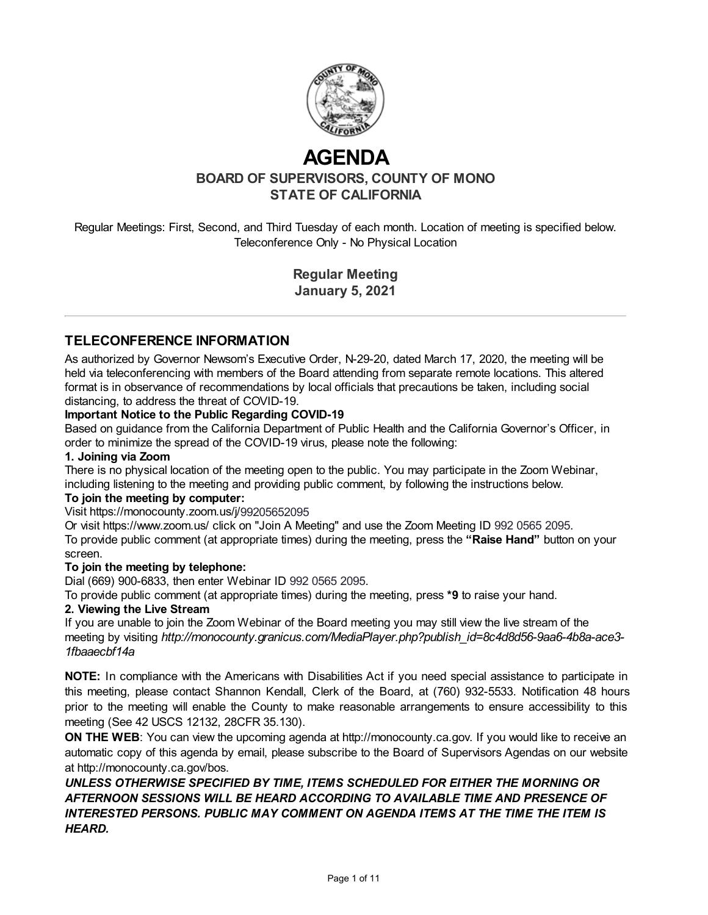

# **AGENDA**

**BOARD OF SUPERVISORS, COUNTY OF MONO STATE OF CALIFORNIA**

Regular Meetings: First, Second, and Third Tuesday of each month. Location of meeting is specified below. Teleconference Only - No Physical Location

> **Regular Meeting January 5, 2021**

## **TELECONFERENCE INFORMATION**

As authorized by Governor Newsom's Executive Order, N-29-20, dated March 17, 2020, the meeting will be held via teleconferencing with members of the Board attending from separate remote locations. This altered format is in observance of recommendations by local officials that precautions be taken, including social distancing, to address the threat of COVID-19.

#### **Important Notice to the Public Regarding COVID-19**

Based on guidance from the California Department of Public Health and the California Governor's Officer, in order to minimize the spread of the COVID-19 virus, please note the following:

#### **1. Joining via Zoom**

There is no physical location of the meeting open to the public. You may participate in the Zoom Webinar, including listening to the meeting and providing public comment, by following the instructions below.

#### **To join the meeting by computer:**

#### Visit https://monocounty.zoom.us/j/99205652095

Or visit https://www.zoom.us/ click on "Join A Meeting" and use the Zoom Meeting ID 992 0565 2095. To provide public comment (at appropriate times) during the meeting, press the **"Raise Hand"** button on your screen.

#### **To join the meeting by telephone:**

Dial (669) 900-6833, then enter Webinar ID 992 0565 2095.

To provide public comment (at appropriate times) during the meeting, press **\*9** to raise your hand.

#### **2. Viewing the Live Stream**

If you are unable to join the Zoom Webinar of the Board meeting you may still view the live stream of the meeting by visiting *http://monocounty.granicus.com/MediaPlayer.php?publish\_id=8c4d8d56-9aa6-4b8a-ace3- 1fbaaecbf14a*

**NOTE:** In compliance with the Americans with Disabilities Act if you need special assistance to participate in this meeting, please contact Shannon Kendall, Clerk of the Board, at (760) 932-5533. Notification 48 hours prior to the meeting will enable the County to make reasonable arrangements to ensure accessibility to this meeting (See 42 USCS 12132, 28CFR 35.130).

**ON THE WEB:** You can view the upcoming agenda at [http://monocounty.ca.gov](http://monocounty.ca.gov/). If you would like to receive an automatic copy of this agenda by email, please subscribe to the Board of Supervisors Agendas on our website at<http://monocounty.ca.gov/bos>.

*UNLESS OTHERWISE SPECIFIED BY TIME, ITEMS SCHEDULED FOR EITHER THE MORNING OR AFTERNOON SESSIONS WILL BE HEARD ACCORDING TO AVAILABLE TIME AND PRESENCE OF INTERESTED PERSONS. PUBLIC MAY COMMENT ON AGENDA ITEMS AT THE TIME THE ITEM IS HEARD.*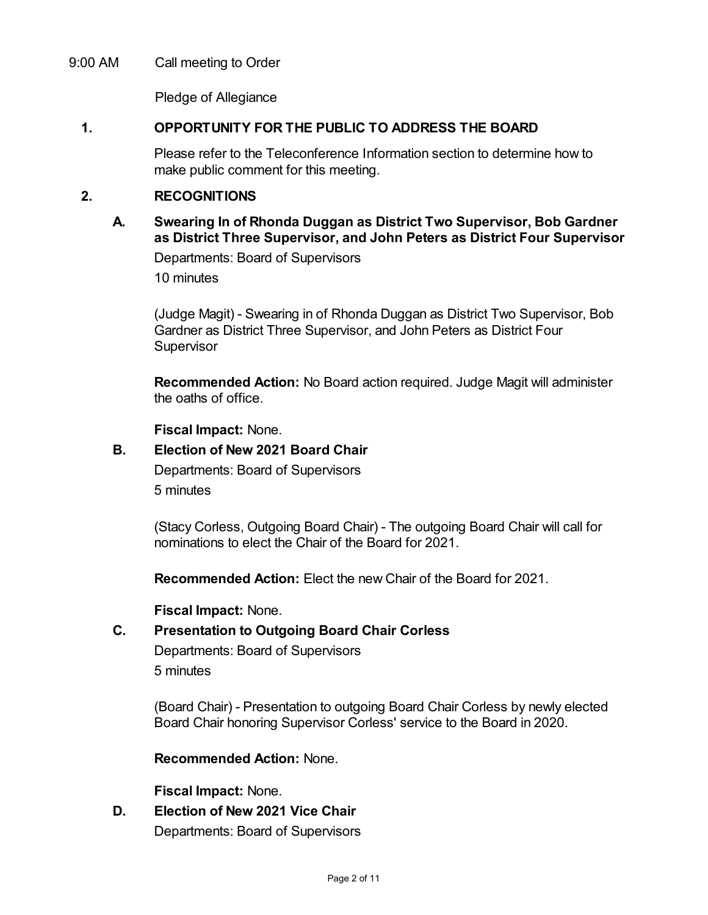## 9:00 AM Call meeting to Order

Pledge of Allegiance

## **1. OPPORTUNITY FOR THE PUBLIC TO ADDRESS THE BOARD**

Please refer to the Teleconference Information section to determine how to make public comment for this meeting.

## **2. RECOGNITIONS**

## **A. Swearing In of Rhonda Duggan as District Two Supervisor, Bob Gardner as District Three Supervisor, and John Peters as District Four Supervisor**

Departments: Board of Supervisors

10 minutes

(Judge Magit) - Swearing in of Rhonda Duggan as District Two Supervisor, Bob Gardner as District Three Supervisor, and John Peters as District Four **Supervisor** 

**Recommended Action:** No Board action required. Judge Magit will administer the oaths of office.

**Fiscal Impact:** None.

## **B. Election of New 2021 Board Chair**

Departments: Board of Supervisors

5 minutes

(Stacy Corless, Outgoing Board Chair) - The outgoing Board Chair will call for nominations to elect the Chair of the Board for 2021.

**Recommended Action:** Elect the new Chair of the Board for 2021.

**Fiscal Impact:** None.

## **C. Presentation to Outgoing Board Chair Corless**

Departments: Board of Supervisors 5 minutes

(Board Chair) - Presentation to outgoing Board Chair Corless by newly elected Board Chair honoring Supervisor Corless' service to the Board in 2020.

**Recommended Action:** None.

**Fiscal Impact:** None.

**D. Election of New 2021 Vice Chair** Departments: Board of Supervisors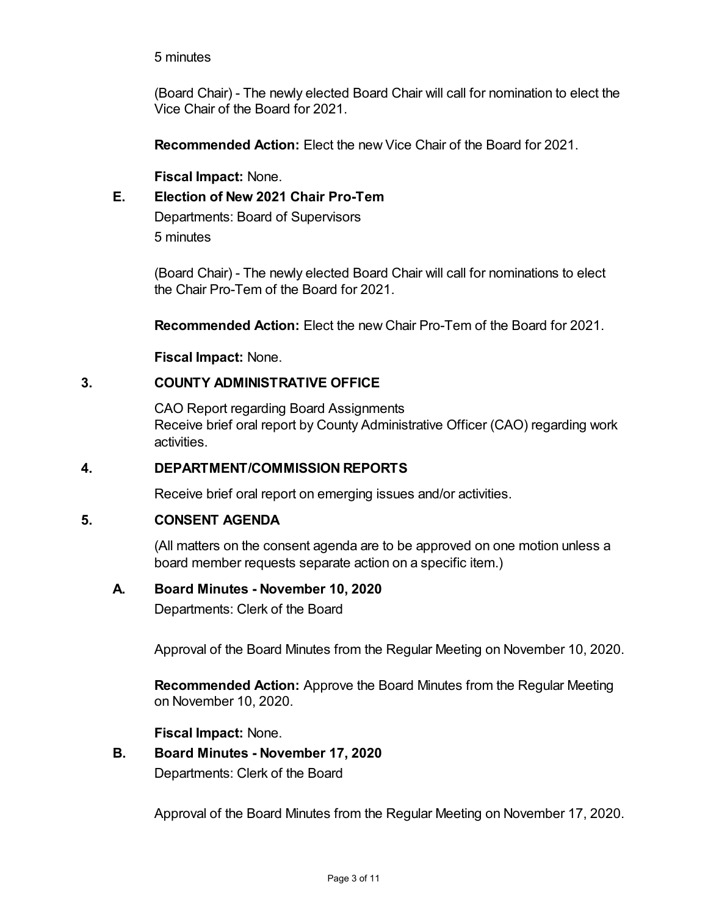## 5 minutes

(Board Chair) - The newly elected Board Chair will call for nomination to elect the Vice Chair of the Board for 2021.

**Recommended Action:** Elect the new Vice Chair of the Board for 2021.

**Fiscal Impact:** None.

# **E. Election of New 2021 Chair Pro-Tem**

Departments: Board of Supervisors 5 minutes

(Board Chair) - The newly elected Board Chair will call for nominations to elect the Chair Pro-Tem of the Board for 2021.

**Recommended Action:** Elect the new Chair Pro-Tem of the Board for 2021.

**Fiscal Impact:** None.

## **3. COUNTY ADMINISTRATIVE OFFICE**

CAO Report regarding Board Assignments Receive brief oral report by County Administrative Officer (CAO) regarding work activities.

## **4. DEPARTMENT/COMMISSION REPORTS**

Receive brief oral report on emerging issues and/or activities.

## **5. CONSENT AGENDA**

(All matters on the consent agenda are to be approved on one motion unless a board member requests separate action on a specific item.)

## **A. Board Minutes - November 10, 2020**

Departments: Clerk of the Board

Approval of the Board Minutes from the Regular Meeting on November 10, 2020.

**Recommended Action:** Approve the Board Minutes from the Regular Meeting on November 10, 2020.

**Fiscal Impact:** None.

# **B. Board Minutes - November 17, 2020**

Departments: Clerk of the Board

Approval of the Board Minutes from the Regular Meeting on November 17, 2020.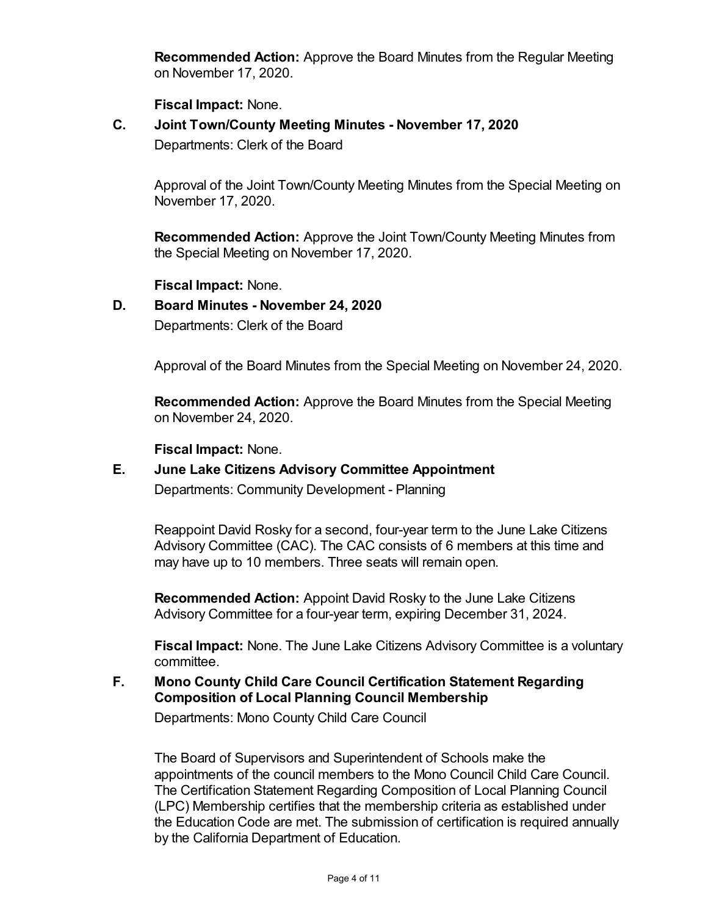**Recommended Action:** Approve the Board Minutes from the Regular Meeting on November 17, 2020.

**Fiscal Impact:** None.

**C. Joint Town/County Meeting Minutes - November 17, 2020** Departments: Clerk of the Board

Approval of the Joint Town/County Meeting Minutes from the Special Meeting on November 17, 2020.

**Recommended Action:** Approve the Joint Town/County Meeting Minutes from the Special Meeting on November 17, 2020.

**Fiscal Impact:** None.

## **D. Board Minutes - November 24, 2020**

Departments: Clerk of the Board

Approval of the Board Minutes from the Special Meeting on November 24, 2020.

**Recommended Action:** Approve the Board Minutes from the Special Meeting on November 24, 2020.

**Fiscal Impact:** None.

# **E. June Lake Citizens Advisory Committee Appointment** Departments: Community Development - Planning

Reappoint David Rosky for a second, four-year term to the June Lake Citizens Advisory Committee (CAC). The CAC consists of 6 members at this time and may have up to 10 members. Three seats will remain open.

**Recommended Action:** Appoint David Rosky to the June Lake Citizens Advisory Committee for a four-year term, expiring December 31, 2024.

**Fiscal Impact:** None. The June Lake Citizens Advisory Committee is a voluntary committee.

## **F. Mono County Child Care Council Certification Statement Regarding Composition of Local Planning Council Membership**

Departments: Mono County Child Care Council

The Board of Supervisors and Superintendent of Schools make the appointments of the council members to the Mono Council Child Care Council. The Certification Statement Regarding Composition of Local Planning Council (LPC) Membership certifies that the membership criteria as established under the Education Code are met. The submission of certification is required annually by the California Department of Education.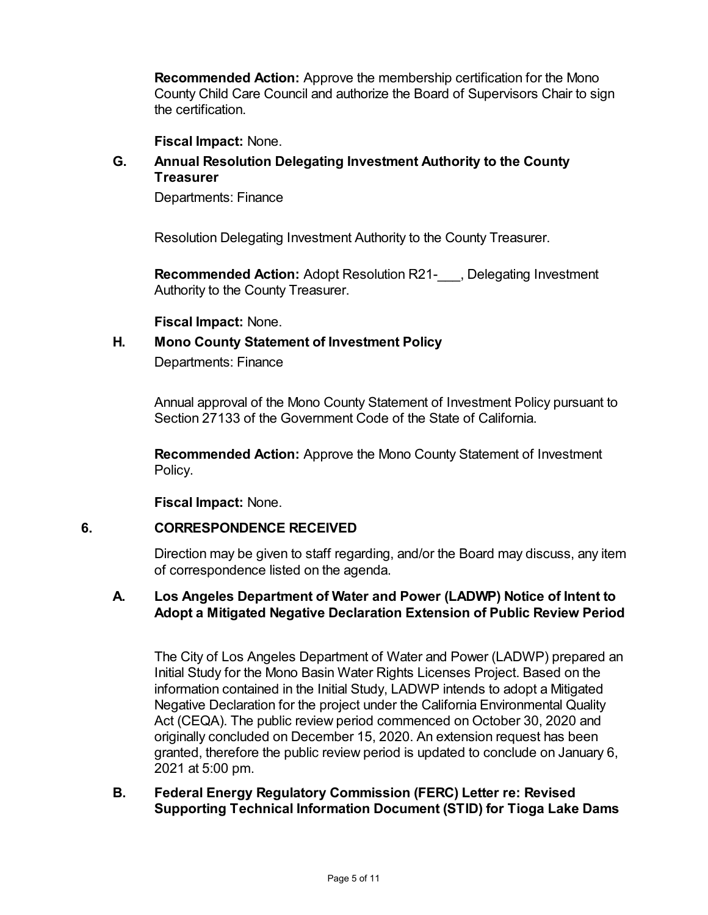**Recommended Action:** Approve the membership certification for the Mono County Child Care Council and authorize the Board of Supervisors Chair to sign the certification.

**Fiscal Impact:** None.

## **G. Annual Resolution Delegating Investment Authority to the County Treasurer**

Departments: Finance

Resolution Delegating Investment Authority to the County Treasurer.

**Recommended Action:** Adopt Resolution R21-\_\_\_, Delegating Investment Authority to the County Treasurer.

**Fiscal Impact:** None.

## **H. Mono County Statement of Investment Policy**

Departments: Finance

Annual approval of the Mono County Statement of Investment Policy pursuant to Section 27133 of the Government Code of the State of California.

**Recommended Action:** Approve the Mono County Statement of Investment Policy.

**Fiscal Impact:** None.

#### **6. CORRESPONDENCE RECEIVED**

Direction may be given to staff regarding, and/or the Board may discuss, any item of correspondence listed on the agenda.

## **A. Los Angeles Department of Water and Power (LADWP) Notice of Intent to Adopt a Mitigated Negative Declaration Extension of Public Review Period**

The City of Los Angeles Department of Water and Power (LADWP) prepared an Initial Study for the Mono Basin Water Rights Licenses Project. Based on the information contained in the Initial Study, LADWP intends to adopt a Mitigated Negative Declaration for the project under the California Environmental Quality Act (CEQA). The public review period commenced on October 30, 2020 and originally concluded on December 15, 2020. An extension request has been granted, therefore the public review period is updated to conclude on January 6, 2021 at 5:00 pm.

## **B. Federal Energy Regulatory Commission (FERC) Letter re: Revised Supporting Technical Information Document (STID) for Tioga Lake Dams**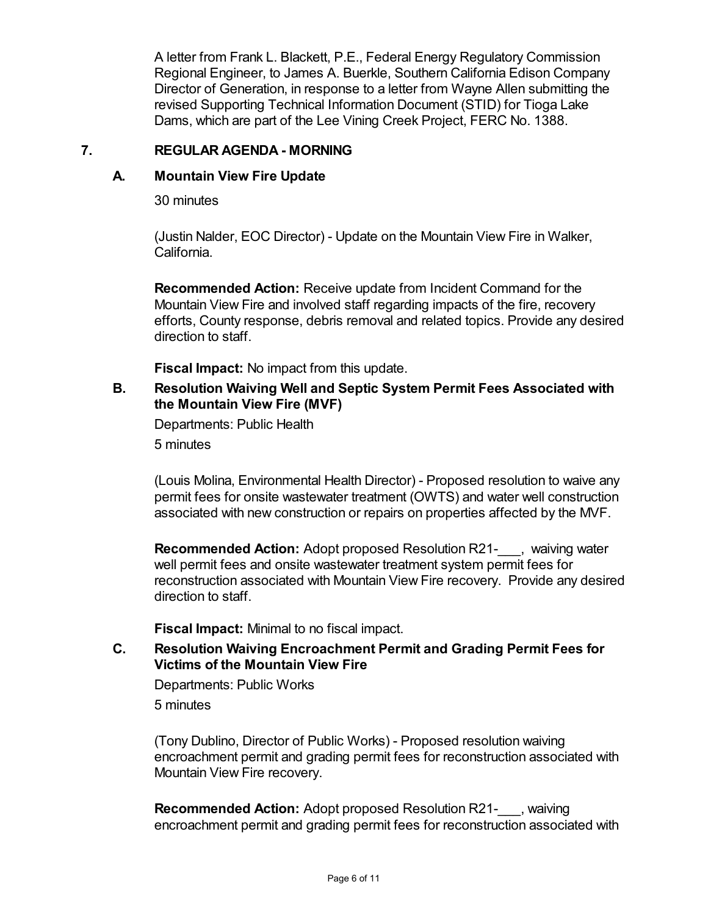A letter from Frank L. Blackett, P.E., Federal Energy Regulatory Commission Regional Engineer, to James A. Buerkle, Southern California Edison Company Director of Generation, in response to a letter from Wayne Allen submitting the revised Supporting Technical Information Document (STID) for Tioga Lake Dams, which are part of the Lee Vining Creek Project, FERC No. 1388.

#### **7. REGULAR AGENDA - MORNING**

## **A. Mountain View Fire Update**

30 minutes

(Justin Nalder, EOC Director) - Update on the Mountain View Fire in Walker, California.

**Recommended Action:** Receive update from Incident Command for the Mountain View Fire and involved staff regarding impacts of the fire, recovery efforts, County response, debris removal and related topics. Provide any desired direction to staff.

**Fiscal Impact:** No impact from this update.

## **B. Resolution Waiving Well and Septic System Permit Fees Associated with the Mountain View Fire (MVF)**

Departments: Public Health

5 minutes

(Louis Molina, Environmental Health Director) - Proposed resolution to waive any permit fees for onsite wastewater treatment (OWTS) and water well construction associated with new construction or repairs on properties affected by the MVF.

**Recommended Action:** Adopt proposed Resolution R21- , waiving water well permit fees and onsite wastewater treatment system permit fees for reconstruction associated with Mountain View Fire recovery. Provide any desired direction to staff.

**Fiscal Impact:** Minimal to no fiscal impact.

## **C. Resolution Waiving Encroachment Permit and Grading Permit Fees for Victims of the Mountain View Fire**

Departments: Public Works 5 minutes

(Tony Dublino, Director of Public Works) - Proposed resolution waiving encroachment permit and grading permit fees for reconstruction associated with Mountain View Fire recovery.

**Recommended Action:** Adopt proposed Resolution R21- , waiving encroachment permit and grading permit fees for reconstruction associated with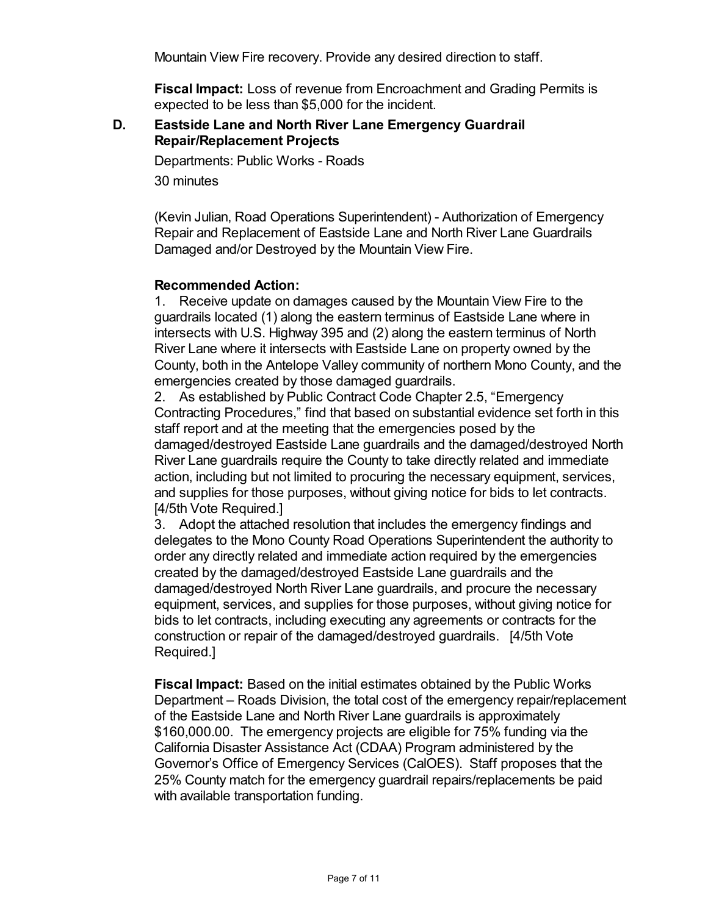Mountain View Fire recovery. Provide any desired direction to staff.

**Fiscal Impact:** Loss of revenue from Encroachment and Grading Permits is expected to be less than \$5,000 for the incident.

#### **D. Eastside Lane and North River Lane Emergency Guardrail Repair/Replacement Projects**

Departments: Public Works - Roads

30 minutes

(Kevin Julian, Road Operations Superintendent) - Authorization of Emergency Repair and Replacement of Eastside Lane and North River Lane Guardrails Damaged and/or Destroyed by the Mountain View Fire.

## **Recommended Action:**

1. Receive update on damages caused by the Mountain View Fire to the guardrails located (1) along the eastern terminus of Eastside Lane where in intersects with U.S. Highway 395 and (2) along the eastern terminus of North River Lane where it intersects with Eastside Lane on property owned by the County, both in the Antelope Valley community of northern Mono County, and the emergencies created by those damaged guardrails.

2. As established by Public Contract Code Chapter 2.5, "Emergency Contracting Procedures," find that based on substantial evidence set forth in this staff report and at the meeting that the emergencies posed by the damaged/destroyed Eastside Lane guardrails and the damaged/destroyed North River Lane guardrails require the County to take directly related and immediate action, including but not limited to procuring the necessary equipment, services, and supplies for those purposes, without giving notice for bids to let contracts. [4/5th Vote Required.]

3. Adopt the attached resolution that includes the emergency findings and delegates to the Mono County Road Operations Superintendent the authority to order any directly related and immediate action required by the emergencies created by the damaged/destroyed Eastside Lane guardrails and the damaged/destroyed North River Lane guardrails, and procure the necessary equipment, services, and supplies for those purposes, without giving notice for bids to let contracts, including executing any agreements or contracts for the construction or repair of the damaged/destroyed guardrails. [4/5th Vote Required.]

**Fiscal Impact:** Based on the initial estimates obtained by the Public Works Department – Roads Division, the total cost of the emergency repair/replacement of the Eastside Lane and North River Lane guardrails is approximately \$160,000.00. The emergency projects are eligible for 75% funding via the California Disaster Assistance Act (CDAA) Program administered by the Governor's Office of Emergency Services (CalOES). Staff proposes that the 25% County match for the emergency guardrail repairs/replacements be paid with available transportation funding.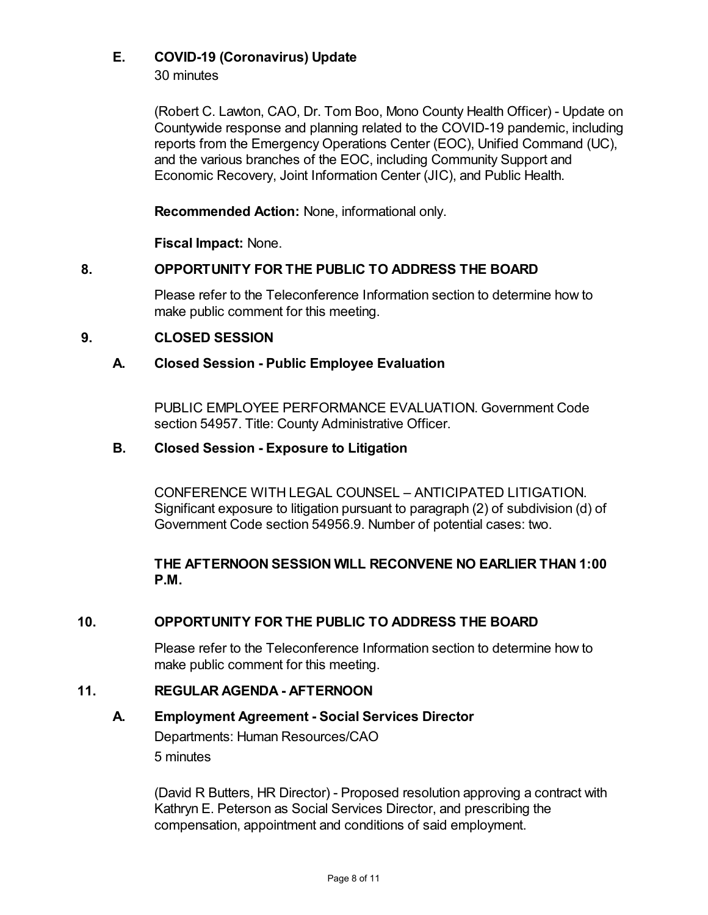# **E. COVID-19 (Coronavirus) Update**

30 minutes

(Robert C. Lawton, CAO, Dr. Tom Boo, Mono County Health Officer) - Update on Countywide response and planning related to the COVID-19 pandemic, including reports from the Emergency Operations Center (EOC), Unified Command (UC), and the various branches of the EOC, including Community Support and Economic Recovery, Joint Information Center (JIC), and Public Health.

**Recommended Action:** None, informational only.

**Fiscal Impact:** None.

## **8. OPPORTUNITY FOR THE PUBLIC TO ADDRESS THE BOARD**

Please refer to the Teleconference Information section to determine how to make public comment for this meeting.

## **9. CLOSED SESSION**

## **A. Closed Session - Public Employee Evaluation**

PUBLIC EMPLOYEE PERFORMANCE EVALUATION. Government Code section 54957. Title: County Administrative Officer.

## **B. Closed Session - Exposure to Litigation**

CONFERENCE WITH LEGAL COUNSEL – ANTICIPATED LITIGATION. Significant exposure to litigation pursuant to paragraph (2) of subdivision (d) of Government Code section 54956.9. Number of potential cases: two.

## **THE AFTERNOON SESSION WILL RECONVENE NO EARLIER THAN 1:00 P.M.**

# **10. OPPORTUNITY FOR THE PUBLIC TO ADDRESS THE BOARD**

Please refer to the Teleconference Information section to determine how to make public comment for this meeting.

## **11. REGULAR AGENDA - AFTERNOON**

## **A. Employment Agreement - Social Services Director**

Departments: Human Resources/CAO 5 minutes

(David R Butters, HR Director) - Proposed resolution approving a contract with Kathryn E. Peterson as Social Services Director, and prescribing the compensation, appointment and conditions of said employment.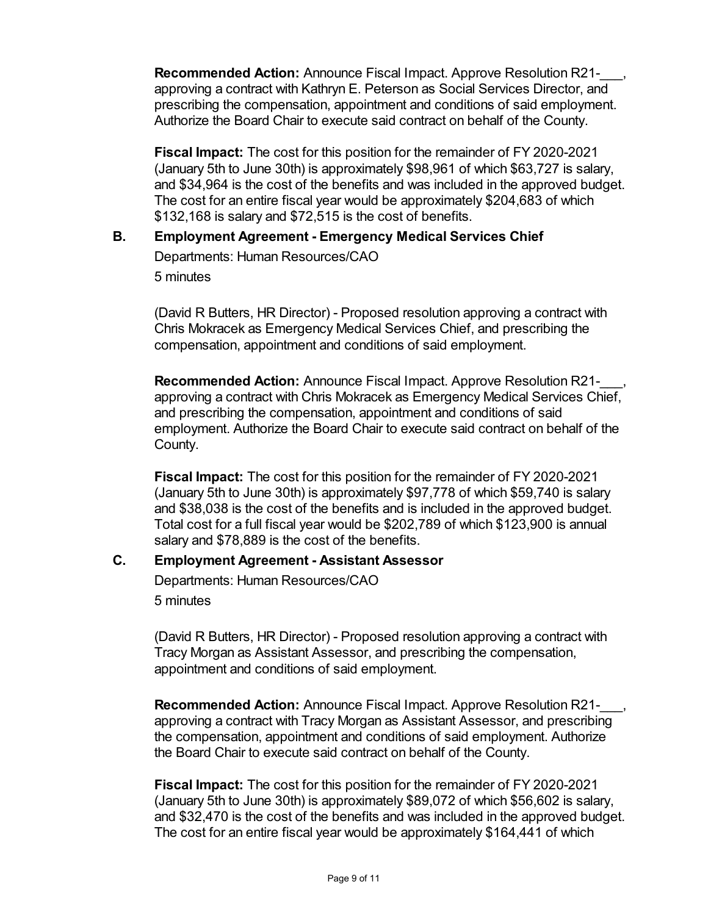**Recommended Action:** Announce Fiscal Impact. Approve Resolution R21-\_\_\_, approving a contract with Kathryn E. Peterson as Social Services Director, and prescribing the compensation, appointment and conditions of said employment. Authorize the Board Chair to execute said contract on behalf of the County.

**Fiscal Impact:** The cost for this position for the remainder of FY 2020-2021 (January 5th to June 30th) is approximately \$98,961 of which \$63,727 is salary, and \$34,964 is the cost of the benefits and was included in the approved budget. The cost for an entire fiscal year would be approximately \$204,683 of which \$132,168 is salary and \$72,515 is the cost of benefits.

## **B. Employment Agreement - Emergency Medical Services Chief**

Departments: Human Resources/CAO 5 minutes

(David R Butters, HR Director) - Proposed resolution approving a contract with Chris Mokracek as Emergency Medical Services Chief, and prescribing the compensation, appointment and conditions of said employment.

**Recommended Action:** Announce Fiscal Impact. Approve Resolution R21-\_\_\_, approving a contract with Chris Mokracek as Emergency Medical Services Chief, and prescribing the compensation, appointment and conditions of said employment. Authorize the Board Chair to execute said contract on behalf of the County.

**Fiscal Impact:** The cost for this position for the remainder of FY 2020-2021 (January 5th to June 30th) is approximately \$97,778 of which \$59,740 is salary and \$38,038 is the cost of the benefits and is included in the approved budget. Total cost for a full fiscal year would be \$202,789 of which \$123,900 is annual salary and \$78,889 is the cost of the benefits.

## **C. Employment Agreement - Assistant Assessor**

Departments: Human Resources/CAO 5 minutes

(David R Butters, HR Director) - Proposed resolution approving a contract with Tracy Morgan as Assistant Assessor, and prescribing the compensation, appointment and conditions of said employment.

**Recommended Action:** Announce Fiscal Impact. Approve Resolution R21-\_\_\_, approving a contract with Tracy Morgan as Assistant Assessor, and prescribing the compensation, appointment and conditions of said employment. Authorize the Board Chair to execute said contract on behalf of the County.

**Fiscal Impact:** The cost for this position for the remainder of FY 2020-2021 (January 5th to June 30th) is approximately \$89,072 of which \$56,602 is salary, and \$32,470 is the cost of the benefits and was included in the approved budget. The cost for an entire fiscal year would be approximately \$164,441 of which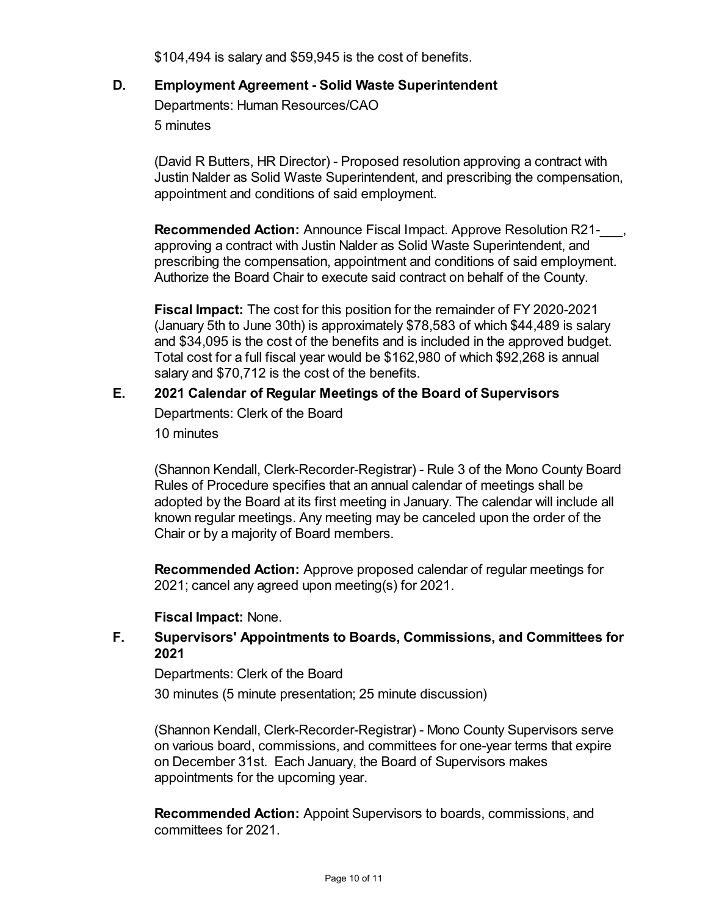\$104,494 is salary and \$59,945 is the cost of benefits.

## **D. Employment Agreement - Solid Waste Superintendent**

Departments: Human Resources/CAO 5 minutes

(David R Butters, HR Director) - Proposed resolution approving a contract with Justin Nalder as Solid Waste Superintendent, and prescribing the compensation, appointment and conditions of said employment.

**Recommended Action:** Announce Fiscal Impact. Approve Resolution R21approving a contract with Justin Nalder as Solid Waste Superintendent, and prescribing the compensation, appointment and conditions of said employment. Authorize the Board Chair to execute said contract on behalf of the County.

**Fiscal Impact:** The cost for this position for the remainder of FY 2020-2021 (January 5th to June 30th) is approximately \$78,583 of which \$44,489 is salary and \$34,095 is the cost of the benefits and is included in the approved budget. Total cost for a full fiscal year would be \$162,980 of which \$92,268 is annual salary and \$70,712 is the cost of the benefits.

## **E. 2021 Calendar of Regular Meetings of the Board of Supervisors**

Departments: Clerk of the Board 10 minutes

(Shannon Kendall, Clerk-Recorder-Registrar) - Rule 3 of the Mono County Board Rules of Procedure specifies that an annual calendar of meetings shall be adopted by the Board at its first meeting in January. The calendar will include all known regular meetings. Any meeting may be canceled upon the order of the Chair or by a majority of Board members.

**Recommended Action:** Approve proposed calendar of regular meetings for 2021; cancel any agreed upon meeting(s) for 2021.

## **Fiscal Impact:** None.

## **F. Supervisors' Appointments to Boards, Commissions, and Committees for 2021**

Departments: Clerk of the Board

30 minutes (5 minute presentation; 25 minute discussion)

(Shannon Kendall, Clerk-Recorder-Registrar) - Mono County Supervisors serve on various board, commissions, and committees for one-year terms that expire on December 31st. Each January, the Board of Supervisors makes appointments for the upcoming year.

**Recommended Action:** Appoint Supervisors to boards, commissions, and committees for 2021.